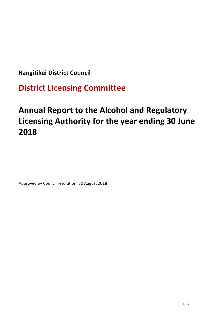**Rangitikei District Council** 

**District Licensing Committee**

# **Annual Report to the Alcohol and Regulatory Licensing Authority for the year ending 30 June 2018**

Approved by Council resolution, 30 August 2018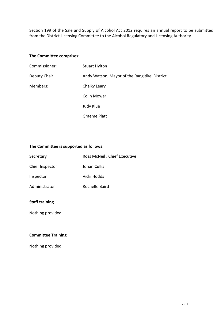Section 199 of the Sale and Supply of Alcohol Act 2012 requires an annual report to be submitted from the District Licensing Committee to the Alcohol Regulatory and Licensing Authority

#### **The Committee comprises**:

| Commissioner: | <b>Stuart Hylton</b>                          |
|---------------|-----------------------------------------------|
| Deputy Chair  | Andy Watson, Mayor of the Rangitikei District |
| Members:      | Chalky Leary                                  |
|               | <b>Colin Mower</b>                            |
|               | Judy Klue                                     |
|               | Graeme Platt                                  |

### **The Committee is supported as follows:**

| Secretary       | Ross McNeil, Chief Executive |
|-----------------|------------------------------|
| Chief Inspector | Johan Cullis                 |
| Inspector       | Vicki Hodds                  |
| Administrator   | Rochelle Baird               |

## **Staff training**

Nothing provided.

## **Committee Training**

Nothing provided.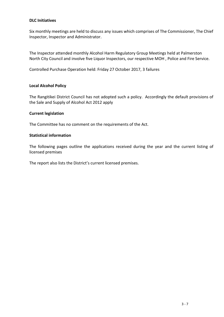#### **DLC Initiatives**

Six monthly meetings are held to discuss any issues which comprises of The Commissioner, The Chief Inspector, Inspector and Administrator.

The Inspector attended monthly Alcohol Harm Regulatory Group Meetings held at Palmerston North City Council and involve five Liquor Inspectors, our respective MOH , Police and Fire Service.

Controlled Purchase Operation held: Friday 27 October 2017, 3 failures

#### **Local Alcohol Policy**

The Rangitikei District Council has not adopted such a policy. Accordingly the default provisions of the Sale and Supply of Alcohol Act 2012 apply

#### **Current legislation**

The Committee has no comment on the requirements of the Act.

#### **Statistical information**

The following pages outline the applications received during the year and the current listing of licensed premises

The report also lists the District's current licensed premises.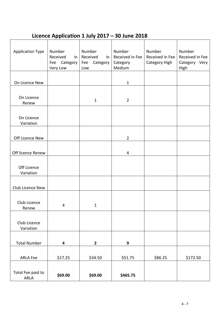## **Licence Application 1 July 2017 – 30 June 2018**

| <b>Application Type</b>   | Number<br>Received<br>in<br>Category<br>Fee<br>Very Low | Number<br>Received<br>in<br>Category<br>Fee<br>Low | Number<br>Received in Fee<br>Category<br>Medium | Number<br>Received in Fee<br>Category High | Number<br>Received in Fee<br>Category Very<br>High |
|---------------------------|---------------------------------------------------------|----------------------------------------------------|-------------------------------------------------|--------------------------------------------|----------------------------------------------------|
|                           |                                                         |                                                    |                                                 |                                            |                                                    |
| On Licence New            |                                                         |                                                    | $\mathbf{1}$                                    |                                            |                                                    |
|                           |                                                         |                                                    |                                                 |                                            |                                                    |
| On Licence<br>Renew       |                                                         | $\mathbf{1}$                                       | $\overline{2}$                                  |                                            |                                                    |
|                           |                                                         |                                                    |                                                 |                                            |                                                    |
| On Licence<br>Variation   |                                                         |                                                    |                                                 |                                            |                                                    |
|                           |                                                         |                                                    |                                                 |                                            |                                                    |
| Off Licence New           |                                                         |                                                    | $\overline{2}$                                  |                                            |                                                    |
|                           |                                                         |                                                    |                                                 |                                            |                                                    |
| Off licence Renew         |                                                         |                                                    | 4                                               |                                            |                                                    |
| Off Licence<br>Variation  |                                                         |                                                    |                                                 |                                            |                                                    |
|                           |                                                         |                                                    |                                                 |                                            |                                                    |
| Club Licence New          |                                                         |                                                    |                                                 |                                            |                                                    |
| Club Licence<br>Renew     | 4                                                       | $\mathbf{1}$                                       |                                                 |                                            |                                                    |
| Club Licence<br>Variation |                                                         |                                                    |                                                 |                                            |                                                    |
|                           |                                                         |                                                    |                                                 |                                            |                                                    |
| <b>Total Number</b>       | 4                                                       | $\mathbf{2}$                                       | 9                                               |                                            |                                                    |
| <b>ARLA Fee</b>           | \$17.25                                                 | \$34.50                                            | \$51.75                                         | \$86.25                                    | \$172.50                                           |
| Total Fee paid to<br>ARLA | \$69.00                                                 | \$69.00                                            | \$465.75                                        |                                            |                                                    |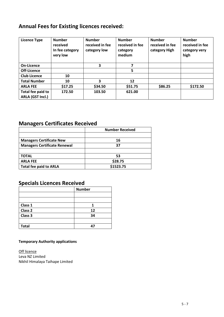## **Annual Fees for Existing licences received:**

| <b>Licence Type</b>                   | <b>Number</b><br>received<br>In fee category<br>very low | <b>Number</b><br>received in fee<br>category low | <b>Number</b><br>received in fee<br>category<br>medium | <b>Number</b><br>received in fee<br>category High | <b>Number</b><br>received in fee<br>category very<br>high |
|---------------------------------------|----------------------------------------------------------|--------------------------------------------------|--------------------------------------------------------|---------------------------------------------------|-----------------------------------------------------------|
| On-Licence                            |                                                          | 3                                                | 7                                                      |                                                   |                                                           |
| Off-Licence                           |                                                          |                                                  | 5                                                      |                                                   |                                                           |
| <b>Club Licence</b>                   | 10                                                       |                                                  |                                                        |                                                   |                                                           |
| <b>Total Number</b>                   | 10                                                       | 3                                                | 12                                                     |                                                   |                                                           |
| <b>ARLA FEE</b>                       | \$17.25                                                  | \$34.50                                          | \$51.75                                                | \$86.25                                           | \$172.50                                                  |
| Total fee paid to<br>ARLA (GST Incl.) | 172.50                                                   | 103.50                                           | 621.00                                                 |                                                   |                                                           |

## **Managers Certificates Received**

|                                     | <b>Number Received</b> |
|-------------------------------------|------------------------|
|                                     |                        |
| <b>Managers Certificate New</b>     | 16                     |
| <b>Managers Certificate Renewal</b> | 37                     |
|                                     |                        |
| TOTAL                               | 53                     |
| <b>ARLA FEE</b>                     | \$28.75                |
| <b>Total fee paid to ARLA</b>       | \$1523.75              |

## **Specials Licences Received**

|              | <b>Number</b> |
|--------------|---------------|
|              |               |
|              |               |
| Class 1      | 1             |
| Class 2      | 12            |
| Class 3      | 34            |
|              |               |
| <b>Total</b> | 47            |

## **Temporary Authority applications**

**Off licence** Leva NZ Limited Nikhil Himalaya Taihape Limited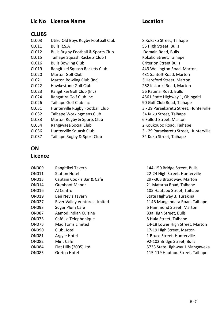## **Lic No Licence Name Location**

## **CLUBS**

- CL003 Utiku Old Boys Rugby Football Club 8 Kokako Street, Taihape
- CL011 Bulls R.S.A 55 High Street, Bulls
- CL012 Bulls Rugby Football & Sports Club Domain Road, Bulls
- 
- 
- 
- 
- 
- 
- CL023 Rangitikei Golf Club (Inc) 56 Raumai Road, Bulls
- 
- 
- 
- CL032 Taihape Workingmens Club 34 Kuku Street, Taihape
- CL033 Marton Rugby & Sports Club 6 Follett Street, Marton
- CL034 Rangiwaea Social Club 2 Koukoupo Road, Taihape
- 
- CL037 Taihape Rugby & Sport Club 34 Kuku Street, Taihape

## **ON**

## **Licence**

| ON009        | Rangitikei Tavern                    |
|--------------|--------------------------------------|
| ON011        | <b>Station Hotel</b>                 |
| ON013        | Captain Cook's Bar & Cafe            |
| ON014        | Gumboot Manor                        |
| <b>ON016</b> | Al Centro                            |
| ON019        | Ben Nevis Tavern                     |
| <b>ON027</b> | <b>River Valley Ventures Limited</b> |
| <b>ON093</b> | Sugar Plum Café                      |
| <b>ON087</b> | Aamod Indian Cuisine                 |
| <b>ON073</b> | Café Le Telephonique                 |
| ON075        | Mad Toms Limited                     |
| <b>ON090</b> | Club Hotel                           |
| <b>ON081</b> | Argyle Hotel                         |
| <b>ON082</b> | Mint Café                            |
| <b>ON084</b> | Flat Hills (2005) Ltd                |
| <b></b>      | .                                    |

CL015 Taihape Squash Rackets Club I Kokako Street, Taihape CL016 Bulls Bowling Club Criterion Street Bulls CL019 Rangitikei Squash Rackets Club 443 Wellington Road, Marton CL020 Marton Golf Club 431 Santoft Road, Marton CL021 Marton Bowling Club (Inc) 3 Hereford Street, Marton CL022 Hawkestone Golf Club 252 Kakariki Road, Marton CL024 Rangatira Golf Club Inc 4561 State Highway 1, Ohingaiti CL026 Taihape Golf Club Inc 90 Golf Club Road, Taihape CL031 Hunterville Rugby Football Club 3 - 29 Paraekaretu Street, Hunterville CL036 Hunterville Squash Club 3 - 29 Paraekaretu Street, Hunterville

144-150 Bridge Street, Bulls 22-24 High Street, Hunterville 297-303 Broadway, Marton 21 Mataroa Road, Taihape 105 Hautapu Street, Taihape State Highway 3, Turakina d Connect Ventures 114B Mangahoata Road, Taihape 6 Hammond Street, Marton 83a High Street, Bulls 8 Huia Street, Taihape 14-18 Lower High Street, Marton 17-19 High Street, Marton 1 Bruce Street, Hunterville 92-102 Bridge Street, Bulls 5733 State Highway 1 Mangaweka ON085 Gretna Hotel 115-119 Hautapu Street, Taihape